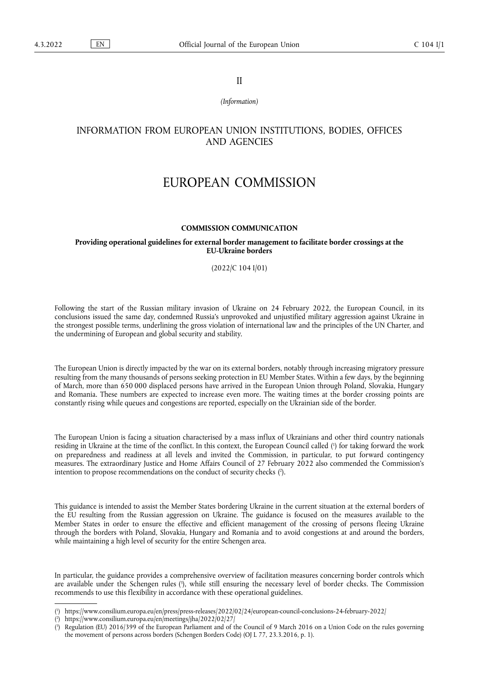II

*(Information)*

## INFORMATION FROM EUROPEAN UNION INSTITUTIONS, BODIES, OFFICES AND AGENCIES

# EUROPEAN COMMISSION

#### **COMMISSION COMMUNICATION**

#### **Providing operational guidelines for external border management to facilitate border crossings at the EU-Ukraine borders**

#### (2022/C 104 I/01)

Following the start of the Russian military invasion of Ukraine on 24 February 2022, the European Council, in its conclusions issued the same day, condemned Russia's unprovoked and unjustified military aggression against Ukraine in the strongest possible terms, underlining the gross violation of international law and the principles of the UN Charter, and the undermining of European and global security and stability.

The European Union is directly impacted by the war on its external borders, notably through increasing migratory pressure resulting from the many thousands of persons seeking protection in EU Member States. Within a few days, by the beginning of March, more than 650 000 displaced persons have arrived in the European Union through Poland, Slovakia, Hungary and Romania. These numbers are expected to increase even more. The waiting times at the border crossing points are constantly rising while queues and congestions are reported, especially on the Ukrainian side of the border.

<span id="page-0-4"></span><span id="page-0-3"></span>The European Union is facing a situation characterised by a mass influx of Ukrainians and other third country nationals residing in Ukraine at the time of the conflict. In this context, the European Council called [\(](#page-0-0) 1 ) for taking forward the work on preparedness and readiness at all levels and invited the Commission, in particular, to put forward contingency measures. The extraordinary Justice and Home Affairs Council of 27 February 2022 also commended the Commission's intention to propose recommendations on the conduct of security checks ( 2 [\).](#page-0-1)

This guidance is intended to assist the Member States bordering Ukraine in the current situation at the external borders of the EU resulting from the Russian aggression on Ukraine. The guidance is focused on the measures available to the Member States in order to ensure the effective and efficient management of the crossing of persons fleeing Ukraine through the borders with Poland, Slovakia, Hungary and Romania and to avoid congestions at and around the borders, while maintaining a high level of security for the entire Schengen area.

<span id="page-0-5"></span>In particular, the guidance provides a comprehensive overview of facilitation measures concerning border controls which are available under the Schengen rules ( 3 [\),](#page-0-2) while still ensuring the necessary level of border checks. The Commission recommends to use this flexibility in accordance with these operational guidelines.

<span id="page-0-0"></span>[<sup>\(</sup>](#page-0-3) 1 ) <https://www.consilium.europa.eu/en/press/press-releases/2022/02/24/european-council-conclusions-24-february-2022/>

<span id="page-0-1"></span> $($ <sup>2</sup> ) <https://www.consilium.europa.eu/en/meetings/jha/2022/02/27/>

<span id="page-0-2"></span>[<sup>\(</sup>](#page-0-5) 3 ) Regulation (EU) 2016/399 of the European Parliament and of the Council of 9 March 2016 on a Union Code on the rules governing the movement of persons across borders (Schengen Borders Code) (OJ L 77, 23.3.2016, p. 1).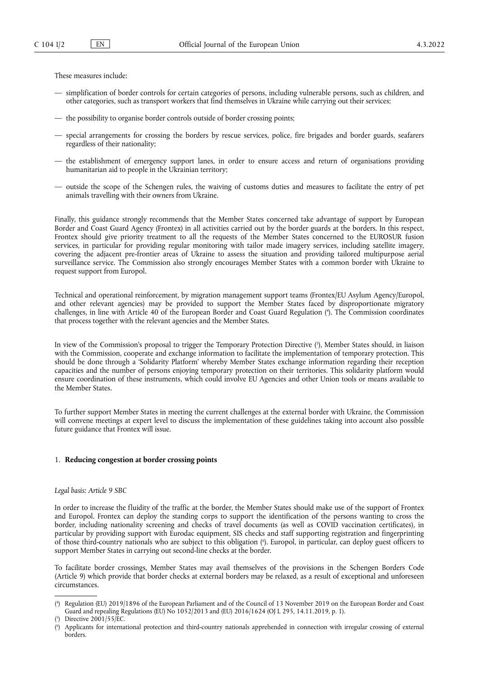These measures include:

- simplification of border controls for certain categories of persons, including vulnerable persons, such as children, and other categories, such as transport workers that find themselves in Ukraine while carrying out their services;
- the possibility to organise border controls outside of border crossing points;
- special arrangements for crossing the borders by rescue services, police, fire brigades and border guards, seafarers regardless of their nationality;
- the establishment of emergency support lanes, in order to ensure access and return of organisations providing humanitarian aid to people in the Ukrainian territory;
- outside the scope of the Schengen rules, the waiving of customs duties and measures to facilitate the entry of pet animals travelling with their owners from Ukraine.

Finally, this guidance strongly recommends that the Member States concerned take advantage of support by European Border and Coast Guard Agency (Frontex) in all activities carried out by the border guards at the borders. In this respect, Frontex should give priority treatment to all the requests of the Member States concerned to the EUROSUR fusion services, in particular for providing regular monitoring with tailor made imagery services, including satellite imagery, covering the adjacent pre-frontier areas of Ukraine to assess the situation and providing tailored multipurpose aerial surveillance service. The Commission also strongly encourages Member States with a common border with Ukraine to request support from Europol.

<span id="page-1-3"></span>Technical and operational reinforcement, by migration management support teams (Frontex/EU Asylum Agency/Europol, and other relevant agencies) may be provided to support the Member States faced by disproportionate migratory challenges, in line with Article 40 of the European Border and Coast Guard Regulation [\(](#page-1-0) 4 ). The Commission coordinates that process together with the relevant agencies and the Member States.

<span id="page-1-4"></span>In view of the Commission's proposal to trigger the Temporary Protection Directive [\(](#page-1-1) 5 ), Member States should, in liaison with the Commission, cooperate and exchange information to facilitate the implementation of temporary protection. This should be done through a 'Solidarity Platform' whereby Member States exchange information regarding their reception capacities and the number of persons enjoying temporary protection on their territories. This solidarity platform would ensure coordination of these instruments, which could involve EU Agencies and other Union tools or means available to the Member States.

To further support Member States in meeting the current challenges at the external border with Ukraine, the Commission will convene meetings at expert level to discuss the implementation of these guidelines taking into account also possible future guidance that Frontex will issue.

#### 1. **Reducing congestion at border crossing points**

*Legal basis: Article 9 SBC*

In order to increase the fluidity of the traffic at the border, the Member States should make use of the support of Frontex and Europol. Frontex can deploy the standing corps to support the identification of the persons wanting to cross the border, including nationality screening and checks of travel documents (as well as COVID vaccination certificates), in particular by providing support with Eurodac equipment, SIS checks and staff supporting registration and fingerprinting of those third-country nationals who are subject to this obligation [\(](#page-1-2) 6 ). Europol, in particular, can deploy guest officers to support Member States in carrying out second-line checks at the border.

<span id="page-1-5"></span>To facilitate border crossings, Member States may avail themselves of the provisions in the Schengen Borders Code (Article 9) which provide that border checks at external borders may be relaxed, as a result of exceptional and unforeseen circumstances.

<span id="page-1-0"></span>[<sup>\(</sup>](#page-1-3) 4 ) Regulation (EU) 2019/1896 of the European Parliament and of the Council of 13 November 2019 on the European Border and Coast Guard and repealing Regulations (EU) No 1052/2013 and (EU) 2016/1624 (OJ L 295, 14.11.2019, p. 1).

<span id="page-1-1"></span>[<sup>\(</sup>](#page-1-4) 5 ) Directive 2001/55/EC.

<span id="page-1-2"></span>[<sup>\(</sup>](#page-1-5) 6 ) Applicants for international protection and third-country nationals apprehended in connection with irregular crossing of external borders.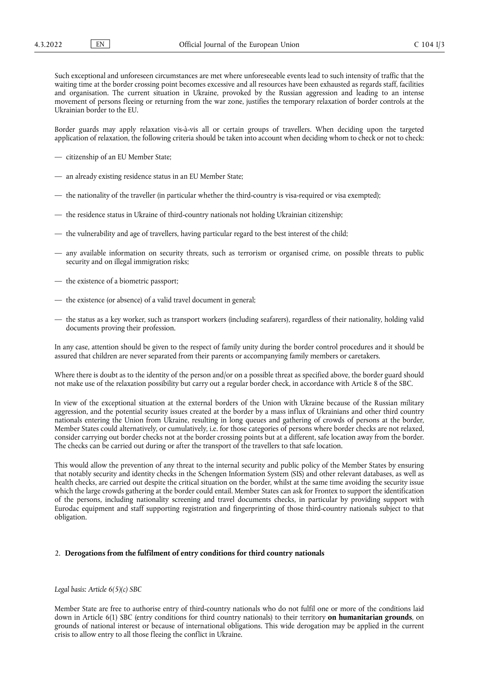Such exceptional and unforeseen circumstances are met where unforeseeable events lead to such intensity of traffic that the waiting time at the border crossing point becomes excessive and all resources have been exhausted as regards staff, facilities and organisation. The current situation in Ukraine, provoked by the Russian aggression and leading to an intense movement of persons fleeing or returning from the war zone, justifies the temporary relaxation of border controls at the Ukrainian border to the EU.

Border guards may apply relaxation vis-à-vis all or certain groups of travellers. When deciding upon the targeted application of relaxation, the following criteria should be taken into account when deciding whom to check or not to check:

- citizenship of an EU Member State;
- an already existing residence status in an EU Member State;
- the nationality of the traveller (in particular whether the third-country is visa-required or visa exempted);
- the residence status in Ukraine of third-country nationals not holding Ukrainian citizenship;
- the vulnerability and age of travellers, having particular regard to the best interest of the child;
- any available information on security threats, such as terrorism or organised crime, on possible threats to public security and on illegal immigration risks;
- the existence of a biometric passport;
- the existence (or absence) of a valid travel document in general;
- the status as a key worker, such as transport workers (including seafarers), regardless of their nationality, holding valid documents proving their profession.

In any case, attention should be given to the respect of family unity during the border control procedures and it should be assured that children are never separated from their parents or accompanying family members or caretakers.

Where there is doubt as to the identity of the person and/or on a possible threat as specified above, the border guard should not make use of the relaxation possibility but carry out a regular border check, in accordance with Article 8 of the SBC.

In view of the exceptional situation at the external borders of the Union with Ukraine because of the Russian military aggression, and the potential security issues created at the border by a mass influx of Ukrainians and other third country nationals entering the Union from Ukraine, resulting in long queues and gathering of crowds of persons at the border, Member States could alternatively, or cumulatively, i.e. for those categories of persons where border checks are not relaxed, consider carrying out border checks not at the border crossing points but at a different, safe location away from the border. The checks can be carried out during or after the transport of the travellers to that safe location.

This would allow the prevention of any threat to the internal security and public policy of the Member States by ensuring that notably security and identity checks in the Schengen Information System (SIS) and other relevant databases, as well as health checks, are carried out despite the critical situation on the border, whilst at the same time avoiding the security issue which the large crowds gathering at the border could entail. Member States can ask for Frontex to support the identification of the persons, including nationality screening and travel documents checks, in particular by providing support with Eurodac equipment and staff supporting registration and fingerprinting of those third-country nationals subject to that obligation.

#### 2. **Derogations from the fulfilment of entry conditions for third country nationals**

#### *Legal basis: Article 6(5)(c) SBC*

Member State are free to authorise entry of third-country nationals who do not fulfil one or more of the conditions laid down in Article 6(1) SBC (entry conditions for third country nationals) to their territory **on humanitarian grounds**, on grounds of national interest or because of international obligations. This wide derogation may be applied in the current crisis to allow entry to all those fleeing the conflict in Ukraine.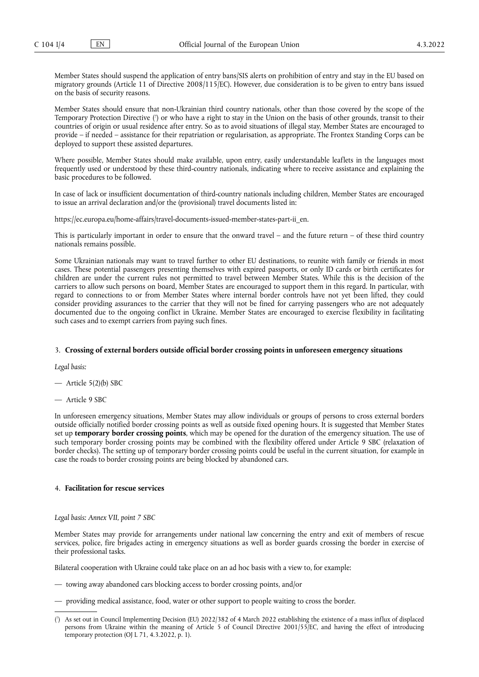Member States should suspend the application of entry bans/SIS alerts on prohibition of entry and stay in the EU based on migratory grounds (Article 11 of Directive 2008/115/EC). However, due consideration is to be given to entry bans issued on the basis of security reasons.

<span id="page-3-1"></span>Member States should ensure that non-Ukrainian third country nationals, other than those covered by the scope of the Temporary Protection Directive [\(](#page-3-0) 7 ) or who have a right to stay in the Union on the basis of other grounds, transit to their countries of origin or usual residence after entry. So as to avoid situations of illegal stay, Member States are encouraged to provide – if needed – assistance for their repatriation or regularisation, as appropriate. The Frontex Standing Corps can be deployed to support these assisted departures.

Where possible, Member States should make available, upon entry, easily understandable leaflets in the languages most frequently used or understood by these third-country nationals, indicating where to receive assistance and explaining the basic procedures to be followed.

In case of lack or insufficient documentation of third-country nationals including children, Member States are encouraged to issue an arrival declaration and/or the (provisional) travel documents listed in:

[https://ec.europa.eu/home-affairs/travel-documents-issued-member-states-part-ii\\_en.](https://ec.europa.eu/home-affairs/travel-documents-issued-member-states-part-ii_en)

This is particularly important in order to ensure that the onward travel – and the future return – of these third country nationals remains possible.

Some Ukrainian nationals may want to travel further to other EU destinations, to reunite with family or friends in most cases. These potential passengers presenting themselves with expired passports, or only ID cards or birth certificates for children are under the current rules not permitted to travel between Member States. While this is the decision of the carriers to allow such persons on board, Member States are encouraged to support them in this regard. In particular, with regard to connections to or from Member States where internal border controls have not yet been lifted, they could consider providing assurances to the carrier that they will not be fined for carrying passengers who are not adequately documented due to the ongoing conflict in Ukraine. Member States are encouraged to exercise flexibility in facilitating such cases and to exempt carriers from paying such fines.

#### 3. **Crossing of external borders outside official border crossing points in unforeseen emergency situations**

*Legal basis:*

— Article 5(2)(b) SBC

— Article 9 SBC

In unforeseen emergency situations, Member States may allow individuals or groups of persons to cross external borders outside officially notified border crossing points as well as outside fixed opening hours. It is suggested that Member States set up **temporary border crossing points**, which may be opened for the duration of the emergency situation. The use of such temporary border crossing points may be combined with the flexibility offered under Article 9 SBC (relaxation of border checks). The setting up of temporary border crossing points could be useful in the current situation, for example in case the roads to border crossing points are being blocked by abandoned cars.

### 4. **Facilitation for rescue services**

*Legal basis: Annex VII, point 7 SBC*

Member States may provide for arrangements under national law concerning the entry and exit of members of rescue services, police, fire brigades acting in emergency situations as well as border guards crossing the border in exercise of their professional tasks.

Bilateral cooperation with Ukraine could take place on an ad hoc basis with a view to, for example:

- towing away abandoned cars blocking access to border crossing points, and/or
- providing medical assistance, food, water or other support to people waiting to cross the border.

<span id="page-3-0"></span>[<sup>\(</sup>](#page-3-1) 7 ) As set out in Council Implementing Decision (EU) 2022/382 of 4 March 2022 establishing the existence of a mass influx of displaced persons from Ukraine within the meaning of Article 5 of Council Directive 2001/55/EC, and having the effect of introducing temporary protection (OJ L 71, 4.3.2022, p. 1).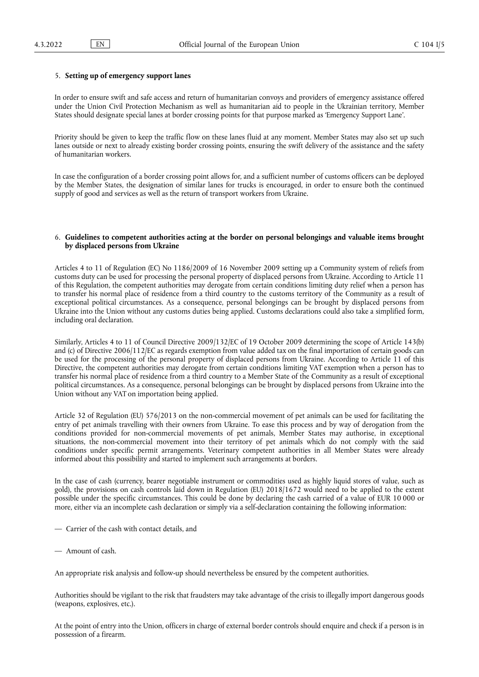#### 5. **Setting up of emergency support lanes**

In order to ensure swift and safe access and return of humanitarian convoys and providers of emergency assistance offered under the Union Civil Protection Mechanism as well as humanitarian aid to people in the Ukrainian territory, Member States should designate special lanes at border crossing points for that purpose marked as 'Emergency Support Lane'.

Priority should be given to keep the traffic flow on these lanes fluid at any moment. Member States may also set up such lanes outside or next to already existing border crossing points, ensuring the swift delivery of the assistance and the safety of humanitarian workers.

In case the configuration of a border crossing point allows for, and a sufficient number of customs officers can be deployed by the Member States, the designation of similar lanes for trucks is encouraged, in order to ensure both the continued supply of good and services as well as the return of transport workers from Ukraine.

#### 6. **Guidelines to competent authorities acting at the border on personal belongings and valuable items brought by displaced persons from Ukraine**

Articles 4 to 11 of Regulation (EC) No 1186/2009 of 16 November 2009 setting up a Community system of reliefs from customs duty can be used for processing the personal property of displaced persons from Ukraine. According to Article 11 of this Regulation, the competent authorities may derogate from certain conditions limiting duty relief when a person has to transfer his normal place of residence from a third country to the customs territory of the Community as a result of exceptional political circumstances. As a consequence, personal belongings can be brought by displaced persons from Ukraine into the Union without any customs duties being applied. Customs declarations could also take a simplified form, including oral declaration.

Similarly, Articles 4 to 11 of Council Directive 2009/132/EC of 19 October 2009 determining the scope of Article 143(b) and (c) of Directive 2006/112/EC as regards exemption from value added tax on the final importation of certain goods can be used for the processing of the personal property of displaced persons from Ukraine. According to Article 11 of this Directive, the competent authorities may derogate from certain conditions limiting VAT exemption when a person has to transfer his normal place of residence from a third country to a Member State of the Community as a result of exceptional political circumstances. As a consequence, personal belongings can be brought by displaced persons from Ukraine into the Union without any VAT on importation being applied.

Article 32 of Regulation (EU) 576/2013 on the non-commercial movement of pet animals can be used for facilitating the entry of pet animals travelling with their owners from Ukraine. To ease this process and by way of derogation from the conditions provided for non-commercial movements of pet animals, Member States may authorise, in exceptional situations, the non-commercial movement into their territory of pet animals which do not comply with the said conditions under specific permit arrangements. Veterinary competent authorities in all Member States were already informed about this possibility and started to implement such arrangements at borders.

In the case of cash (currency, bearer negotiable instrument or commodities used as highly liquid stores of value, such as gold), the provisions on cash controls laid down in Regulation (EU) 2018/1672 would need to be applied to the extent possible under the specific circumstances. This could be done by declaring the cash carried of a value of EUR 10 000 or more, either via an incomplete cash declaration or simply via a self-declaration containing the following information:

- Carrier of the cash with contact details, and
- Amount of cash.

An appropriate risk analysis and follow-up should nevertheless be ensured by the competent authorities.

Authorities should be vigilant to the risk that fraudsters may take advantage of the crisis to illegally import dangerous goods (weapons, explosives, etc.).

At the point of entry into the Union, officers in charge of external border controls should enquire and check if a person is in possession of a firearm.